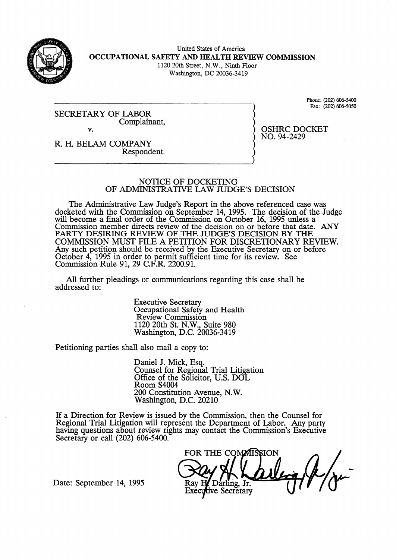

United States of America OCCUPATIONAL SAFETY AND HEALTH REVIEW COMMISSION 1120 20th Street, N.W., Ninth Floor Washington, DC 20036-34 19

SECRETARY OF LABOR Complainant, v.

Phone: (202) 606-5400 Fax: (202) 606-5050

OSHRC DOCKET

NO. 94-2429

R. H. BELAM: COMPANY Respondent.

#### NOTICE OF DOCKETING OF ADMINISTRATIVE LAW JUDGE'S DECISION

The Administrative Law Judge's Report in the above referenced case was docketed with the Commission on September 14, 1995. The decision of the Judge will become a final order of the Commission on October 16, 1995 unless a Commission member directs review of the decision on or before that date. ANY PARTY DESIRING REVIEW OF THE JUDGE'S DECISION BY THE COMMISSION MUST FILE A PETITION FOR DISCRETIONARY REVIEW. Any such petition should be received by the Executive Secretary on or before October 4, 1995 in order to  $\mathbf{F}$ ermit sufficient time for its review. See Commission Rule 91, 29 C.F.R. 2200.91.

All further pleadings or communications regarding this case shall be addressed to:

> Executive Secretary Occupational Safety and Health Review Commission 1120 20th St. N.W., Suite 980 Washington, D.C. 20036-3419

Petitioning parties shall also mail a copy to:

Daniel J. Mick, Esq. Counsel for Regional Trial Litigation Office of the Solicitor, U.S. DOL Room S4004 200 Constitution Avenue, N.W. Washington, D.C. 20210

If a Direction for Review is issued by the Commission, then the Counsel for Regional Trial Litigation will represent the Department of Labor. Any party having questions about review rights may contact the Commission's Executive Secretary or call (202) 606-5400.

FOR THE COMMISSION Ray H Darling, Jr. **Executive Secretary** 

Date: September 14, 1995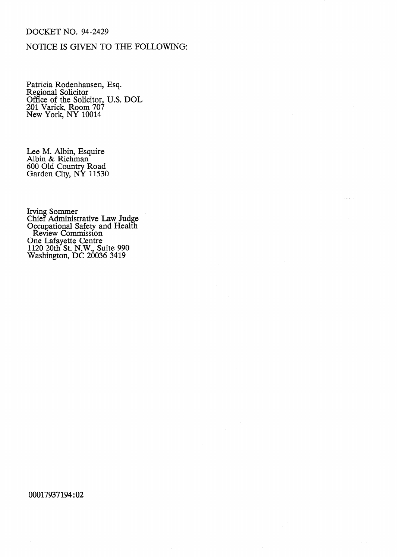### DOCKET NO. 94-2429

## NOTICE IS GIVEN TO THE FOLLOWING:

Patricia Rodenhausen, Esq. Regional Solicitor Office of the Solicitor, U.S. DOL 201 Varick, Room 707 New York, NY 10014

Lee M. Albin, Esquire Albin & Richman <sup>600</sup> Old Country Road Garden City, NY 11530

Irving Sommer Chief Administrative Law Judge Occupational Safety and Health Review Commission One Lafayette Centre 1120 20th St. N.W., Suite 990 Washington, DC 20036 3419

00017937194:02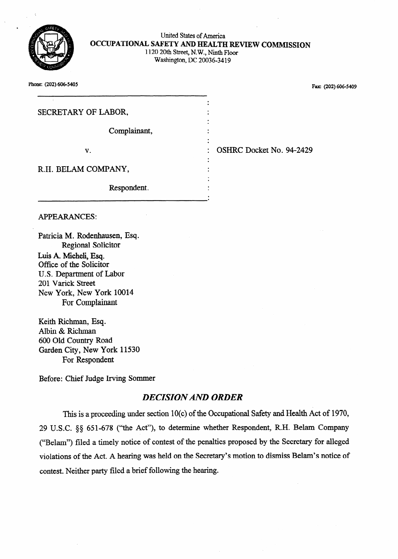| United States of America                         |
|--------------------------------------------------|
| OCCUPATIONAL SAFETY AND HEALTH REVIEW COMMISSION |
| 1120 20th Street, N.W., Ninth Floor              |
| Washington, DC 20036-3419                        |

. . . . .

.

OSHRC Docket No. 94-2429

Phone: (202) 606-5405

Fax: (202) 606-5409

| SECRETARY OF LABOR, |  |
|---------------------|--|
|                     |  |
| Complainant,        |  |
|                     |  |
| $\mathbf{V}$ .      |  |
|                     |  |
| R.H. BELAM COMPANY, |  |
|                     |  |

Respondent. .

#### APPEARANCES:

Patricia M. Rodenhausen, Esq. Regional Solicitor Luis A. Micheli, Esq. Office of the Solicitor U.S. Department of Labor 201 Varick Street New York, New York 10014 For Complainant

Keith Richman, Esq. Albin & Richman 600 Old Country Road Garden City, New York 11530 For Respondent

Before: Chief Judge Irving Sommer

# *DECISIONAND ORDER*

This is a proceeding under section 10(c) of the Occupational Safety and Health Act of 1970, 29 U.S.C. §§ 651-678 ("the Act"), to determine whether Respondent, R.H. Belam Company ("Belam") filed a timely notice of contest of the penalties proposed by the Secretary for alleged violations of the Act. A hearing was held on the Secretary's motion to dismiss Belam's notice of contest. Neither party filed a brief following the hearing.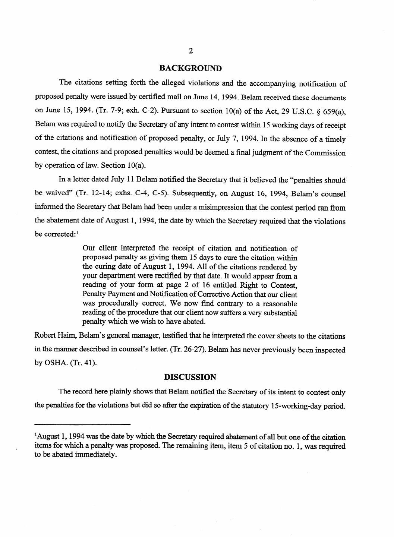## **BACKGROUND**

The citations setting forth the alleged violations and the accompanying notification of proposed penalty were issued by certified mail on June 14,1994. Belam received these documents on June 15, 1994. (Tr. 7-9; exh. C-2). Pursuant to section  $10(a)$  of the Act, 29 U.S.C. § 659(a), Belam was required to notify the Secretary of any intent to contest within 15 working days of receipt  $B = \frac{1}{2}$  in the notify the Secretary of any intent to contest within 15 working days of receipt  $\begin{pmatrix} 1 & 1 \\ 1 & 1 \end{pmatrix}$ , or  $\begin{pmatrix} 1 & 1 \\ 1 & 1 \end{pmatrix}$ ,  $\begin{pmatrix} 1 & 1 \\ 1 & 1 \end{pmatrix}$ ,  $\begin{pmatrix} 1 & 1 \\ 1 & 1 \end{pmatrix}$ ,  $\begin{pmatrix} 1 & 1 \\ 1 & 1 \end{pmatrix}$ ,  $\begin{pmatrix} 1 & 1 \\ 1 & 1 \end{pmatrix}$ ,  $\begin{pmatrix} 1 & 1 \\ 1 & 1 \end{pmatrix}$ ,  $\begin{pmatrix} 1 & 1 \\ 1 & 1 \end{pmatrix}$ ,  $\$ contest, the citations and proposed penalties would be deemed a final judgment of the Commission by operation of law. Section  $10(a)$ .

In a letter dated July 11 Belam notified the Secretary that it believed the "penalties should" be waived" (Tr. 12-14; exhs. C-4, C-5). Subsequently, on August 16, 1994, Belam's counsel informed the Secretary that Belam had been under a misimpression that the contest period ran from the abatement date of August 1, 1994, the date by which the Secretary required that the violations  $\text{the correct } d \cdot \text{!}$ 

> proposed penalty as giving them 15 days to cure the citation within the curing date of August 1, 1994. All of the citations rendered by your department were rectified by that date. It would appear from a reading of your form at page 2 of 16 entitled Right to Contest, Penalty Payment and Notification of Corrective Action that our client was procedurally correct. We now find contrary to a reasonable reading of the procedure that our client now suffers a very substantial penalty which we wish to have abated.

Robert Haim, Belam's general manager, testified that he interpreted the cover sheets to the citations in the manner described in counsel's letter. (Tr. 26-27). Belam has never previously been inspected by OSHA.  $(Tr. 41)$ .

#### **DISCUSSION**

The record here plainly shows that Belam notified the Secretary of its intent to contest only the penalties for the violations but did so after the expiration of the statutory 15-working-day period.

the penalties for the violations but did so after the expiration of the statutory 15.working-day period.

<sup>&</sup>lt;sup>1</sup>August 1, 1994 was the date by which the Secretary required abatement of all but one of the citation items for which a penalty was proposed. The remaining item, item 5 of citation no. 1, was required to be abated immediately.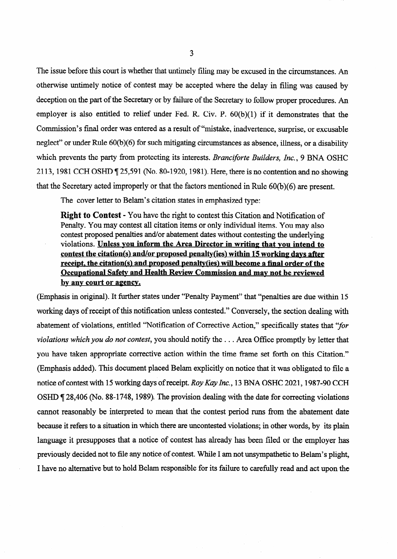The issue before this court is whether that untimely filing may be excused in the circumstances. An otherwise untimely notice of contest may be accepted where the delay in filing was caused by deception on the part of the Secretary or by failure of the Secretary to follow proper procedures. An employer is also entitled to relief under Fed. R. Civ. P.  $60(b)(1)$  if it demonstrates that the Commission's fmal order was entered as a result of "mistake, inadvertence, surprise, or excusable neglect" or under Rule 60(b)(6) for such mitigating circumstances as absence, illness, or a disability which prevents the party from protecting its interests. *Branciforte Builders, Inc., 9* BNA OSHC 2113, 1981 CCH OSHD  $\P$  25,591 (No. 80-1920, 1981). Here, there is no contention and no showing that the Secretary acted improperly or that the factors mentioned in Rule 60(b)(6) are present.

The cover letter to Belam's citation states in emphasized type:

**Right to Contest** - You have the right to contest this Citation and Notification of Penalty. You may contest all citation items or only individual items. You may also contest proposed penalties and/or abatement dates without contesting the underlying violations. **Unless vou inform the Area Director in writine that vou intend to**  contest the citation(s) and/or proposed penalty(ies) within 15 working davs after **receipt, the citation(s) and proposed penalty(ies) will become a final order of the <u>Occupational Safety and Health Review Commission and may not be reviewed</u> bv anv court or agency.** 

(Emphasis in original). It further states under "Penalty Payment" that "penalties are due within 15 working days of receipt of this notification unless contested." Conversely, the section dealing with abatement of violations, entitled "Notification of Corrective Action," specifically states that *"for violations which you do not contest,* you should notify the . . . Area Office promptly by letter that you have taken appropriate corrective action within the time frame set forth on this Citation." (Emphasis added). This document placed Belam explicitly on notice that it was obligated to file a notice of contest with 15 working days of receipt. *Roy Kay Inc.,* 13 **BNA** OSHC **2021,1987-90 CCH**  OSHD  $\P$  28,406 (No. 88-1748, 1989). The provision dealing with the date for correcting violations cannot reasonably be interpreted to mean that the contest period runs from the abatement date because it refers to a situation in which there are uncontested violations; in other words, by its plain language it presupposes that a notice of contest has already has been filed or the employer has previously decided not to file any notice of contest. While I am not unsympathetic to Belam's plight, I have no alternative but to hold Belam responsible for its failure to carefully read and act upon the